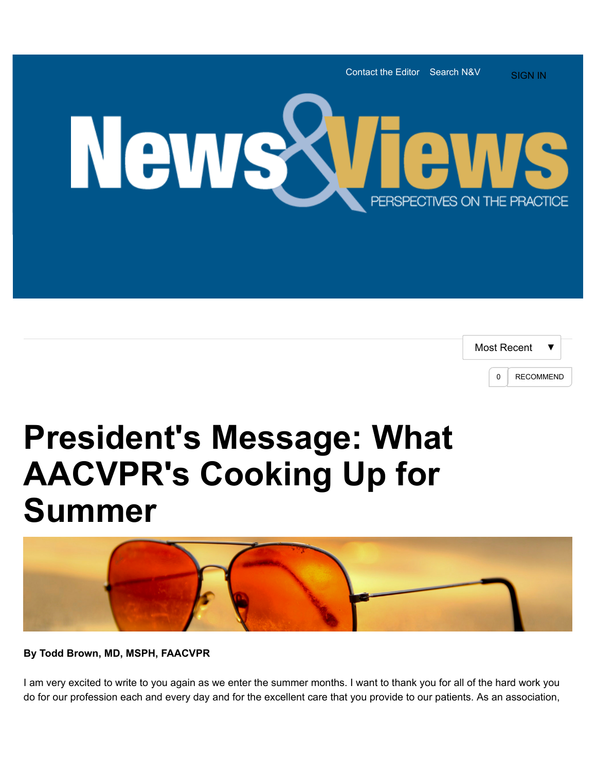

| Most Recent |   |                  |  |
|-------------|---|------------------|--|
|             | n | <b>RECOMMEND</b> |  |

## **President's Message: What AACVPR's Cooking Up for Summer**



**By Todd Brown, MD, MSPH, FAACVPR**

I am very excited to write to you again as we enter the summer months. I want to thank you for all of the hard work you do for our profession each and every day and for the excellent care that you provide to our patients. As an association,